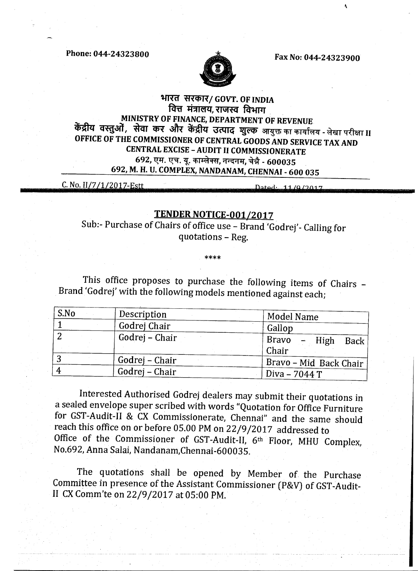**Phone: 044-24323800 Fax No: 044-24323900** 



k

## **भारत सरकार/ GOVT. OF INDIA f4V 4-111eN,11'71\*(1 form MINISTRY OF FINANCE, DEPARTMENT OF REVENUE केंद्रीय वस्त़ओं, सेवा कर और केंद्रीय उत्पाद शुल्क** आयुक्त का कार्यालय - लेखा परीक्षा II **OFFICE OF THE COMMISSIONER OF CENTRAL GOODS AND SERVICE TAX AND CENTRAL EXCISE - AUDIT II COMMISSIONERATE 692, एम. एच. यू. काम्लेक्स, नन्दनम, चेन्नै - 600035 692, M. H. U. COMPLEX, NANDANAM, CHENNAI - 600 035**

C. No. II/7/1/2017-Estt

Dated: 11/0/2017

## **TENDER NOTICE-001/2017**

Sub:- Purchase of Chairs of office use - Brand 'Godrej'- Calling for quotations - Reg.

This office proposes to purchase the following items of Chairs -Brand 'Godrej' with the following models mentioned against each;

| S.No | Description    | <b>Model Name</b>                         |
|------|----------------|-------------------------------------------|
|      | Godrej Chair   | Gallop                                    |
|      | Godrej – Chair | <b>Bravo</b><br>– High<br>Back  <br>Chair |
|      | Godrej – Chair | Bravo - Mid Back Chair                    |
|      | Godrej – Chair | Diva - 7044 T                             |

Interested Authorised Godrej dealers may submit their quotations in a sealed envelope super scribed with words "Quotation for Office Furniture for GST-Audit-II *&* CX Commissionerate, Chennai" and the same should reach this office on or before 05.00 PM on 22/9/2017 addressed to Office of the Commissioner of GST-Audit-II, 6th Floor, MHU Complex, No.692, Anna Salai, Nandanam,Chennai-600035.

The quotations shall be opened by Member of. the Purchase Committee in presence of the Assistant Commissioner (P&V) of GST-Audit-II CX Comm'te on 22/9/2017 at 05:00 PM.